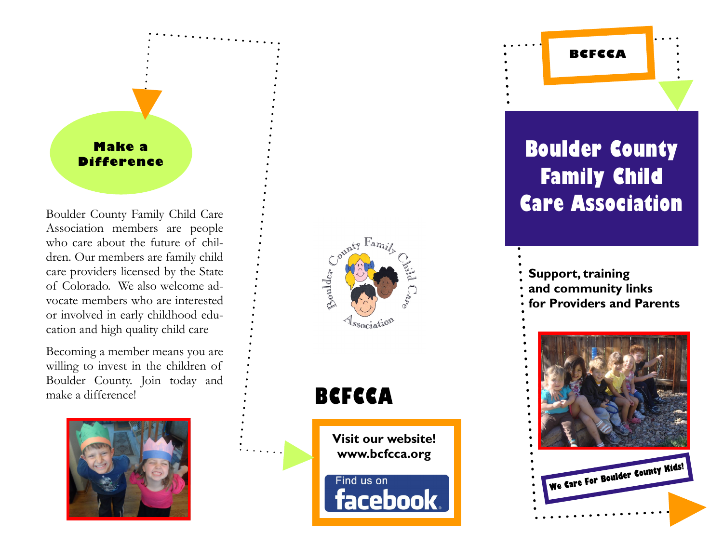### **Make a Difference**

Association members are people who care about the future of children. Our members are family child care providers licensed by the State of Colorado. We also welcome advocate members who are interested or involved in early childhood education and high quality child care

Becoming a member means you are willing to invest in the children of Boulder County. Join today and make a difference!





## **BCFCCA**

**Visit our website! www.bcfcca.org**

Find us on **facebook** 

# **Boulder County Family Child**  Boulder County Family Child Care  $\begin{array}{c} \therefore \\ \hline \end{array}$  **Care Association**

**BCFCCA**

**Support, training and community links for Providers and Parents**